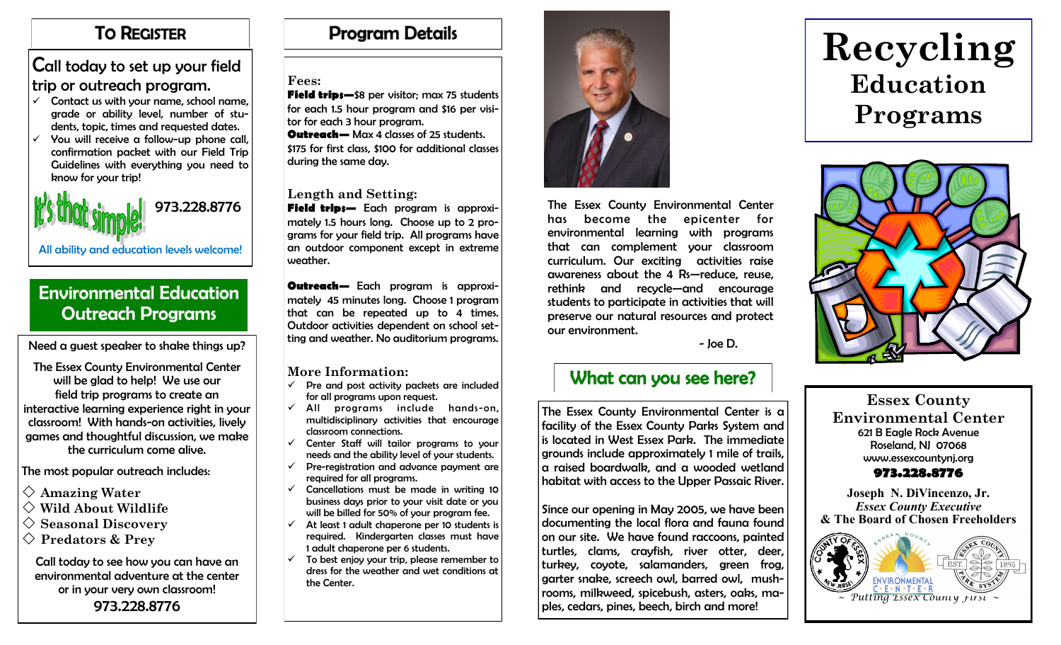### **TO REGISTER**

### Call today to set up your field trip or outreach program.

- Contact us with your name, school name, grade or ability level, number of students, topic, times and requested dates.
- $\checkmark$  You will receive a follow-up phone call, confirmation packet with our Field Trip Guidelines with everything you need to know for your trip!



All ability and education levels welcome!

## **Environmental Education Outreach Programs**

Need a guest speaker to shake things up?  $\begin{bmatrix} \text{ung and we}\\ \text{diag} \end{bmatrix}$  is a discussion programs.

The Essex County Environmental Center will be glad to help! We use our field trip programs to create an interactive learning experience right in your classroom! With hands-on activities, lively games and thoughtful discussion, we make the curriculum come alive.

The most popular outreach includes:

- **Amazing Water**
- **Wild About Wildlife**
- $\diamondsuit$  Seasonal Discovery
- **Predators & Prey**

Call today to see how you can have an environmental adventure at the center or in your very own classroom! 973.228.8776

# **Program Details**

#### **Fees:**

**Field trips—**\$8 per visitor; max 75 students for each 1.5 hour program and \$16 per visitor for each 3 hour program. **Outreach—** Max 4 classes of 25 students. \$175 for first class, \$100 for additional classes during the same day.

#### **Length and Setting:**

**Field trips—** Each program is approximately 1.5 hours long. Choose up to 2 programs for your field trip. All programs have an outdoor component except in extreme weather.

**Outreach—** Each program is approximately 45 minutes long. Choose 1 program that can be repeated up to 4 times. Outdoor activities dependent on school setting and weather. No auditorium programs.

#### **More Information:**

- Pre and post activity packets are included for all programs upon request.
- $\checkmark$  All programs include hands-on, multidisciplinary activities that encourage classroom connections.
- $\checkmark$  Center Staff will tailor programs to your needs and the ability level of your students.
- $\checkmark$  Pre-registration and advance payment are required for all programs.
- $\checkmark$  Cancellations must be made in writing 10 business days prior to your visit date or you will be billed for 50% of your program fee.
- $\checkmark$  At least 1 adult chaperone per 10 students is required. Kindergarten classes must have 1 adult chaperone per 6 students.
- $\checkmark$  To best enjoy your trip, please remember to dress for the weather and wet conditions at the Center.



The Essex County Environmental Center has become the epicenter for environmental learning with programs that can complement your classroom curriculum. Our exciting activities raise awareness about the 4 Rs—reduce, reuse, rethink and recycle—and encourage students to participate in activities that will preserve our natural resources and protect our environment.

## What can you see here?

The Essex County Environmental Center is a facility of the Essex County Parks System and is located in West Essex Park. The immediate grounds include approximately 1 mile of trails, a raised boardwalk, and a wooded wetland habitat with access to the Upper Passaic River.

Since our opening in May 2005, we have been documenting the local flora and fauna found on our site. We have found raccoons, painted turtles, clams, crayfish, river otter, deer, turkey, coyote, salamanders, green frog, garter snake, screech owl, barred owl, mushrooms, milkweed, spicebush, asters, oaks, maples, cedars, pines, beech, birch and more!

# **Recycling Education Programs**



**Essex County Environmental Center** 621 B Eagle Rock Avenue Roseland, NJ 07068 www.essexcountynj.org

#### **973.228.8776**

**Joseph N. DiVincenzo, Jr.** *Essex County Executive*  **& The Board of Chosen Freeholders**